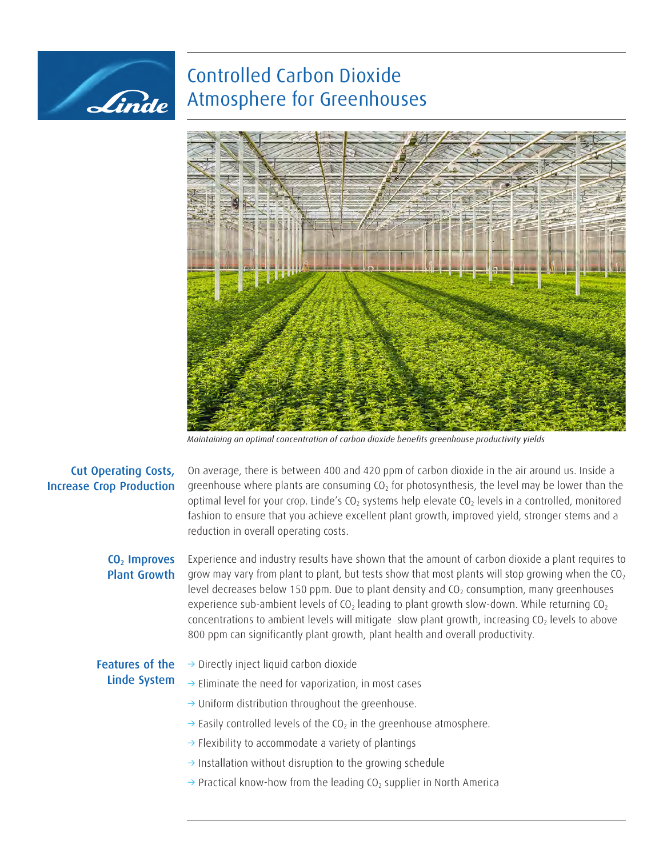## Controlled Carbon Dioxide Atmosphere for Greenhouses



*Maintaining an optimal concentration of carbon dioxide benefits greenhouse productivity yields*

## Cut Operating Costs, Increase Crop Production

Linde

On average, there is between 400 and 420 ppm of carbon dioxide in the air around us. Inside a greenhouse where plants are consuming  $CO<sub>2</sub>$  for photosynthesis, the level may be lower than the optimal level for your crop. Linde's  $CO<sub>2</sub>$  systems help elevate  $CO<sub>2</sub>$  levels in a controlled, monitored fashion to ensure that you achieve excellent plant growth, improved yield, stronger stems and a reduction in overall operating costs.

## CO<sub>2</sub> Improves Plant Growth

Experience and industry results have shown that the amount of carbon dioxide a plant requires to grow may vary from plant to plant, but tests show that most plants will stop growing when the  $CO<sub>2</sub>$ level decreases below 150 ppm. Due to plant density and  $CO<sub>2</sub>$  consumption, many greenhouses experience sub-ambient levels of  $CO<sub>2</sub>$  leading to plant growth slow-down. While returning  $CO<sub>2</sub>$ concentrations to ambient levels will mitigate slow plant growth, increasing  $CO<sub>2</sub>$  levels to above 800 ppm can significantly plant growth, plant health and overall productivity.

## Features of the Linde System

- $\rightarrow$  Directly inject liquid carbon dioxide
- $\rightarrow$  Eliminate the need for vaporization, in most cases
- $\rightarrow$  Uniform distribution throughout the greenhouse.
- $\rightarrow$  Easily controlled levels of the CO<sub>2</sub> in the greenhouse atmosphere.
- $\rightarrow$  Flexibility to accommodate a variety of plantings
- $\rightarrow$  Installation without disruption to the growing schedule
- $\rightarrow$  Practical know-how from the leading CO<sub>2</sub> supplier in North America